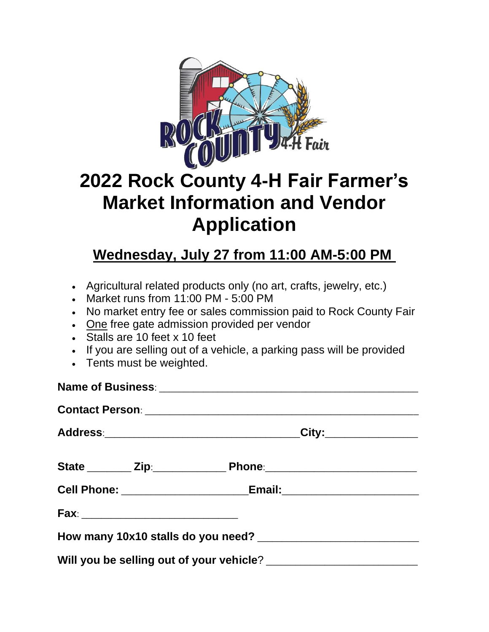

## **2022 Rock County 4-H Fair Farmer's Market Information and Vendor Application**

## **Wednesday, July 27 from 11:00 AM-5:00 PM**

- Agricultural related products only (no art, crafts, jewelry, etc.)
- Market runs from 11:00 PM 5:00 PM
- No market entry fee or sales commission paid to Rock County Fair
- One free gate admission provided per vendor
- Stalls are 10 feet x 10 feet
- If you are selling out of a vehicle, a parking pass will be provided
- Tents must be weighted.

| Address:__________________________________City:__________________                |  |
|----------------------------------------------------------------------------------|--|
|                                                                                  |  |
| Cell Phone: ____________________________Email:__________________________________ |  |
|                                                                                  |  |
|                                                                                  |  |
|                                                                                  |  |